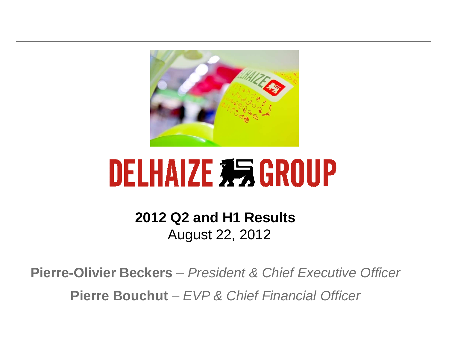

# **DELHAIZE #5 GROUP**

**2012 Q2 and H1 Results** August 22, 2012

**Pierre-Olivier Beckers** – President & Chief Executive Officer **Pierre Bouchut** –EVP & Chief Financial Officer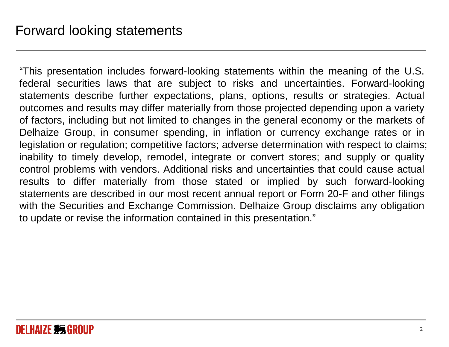"This presentation includes forward-looking statements within the meaning of the U.S. federal securities laws that are subject to risks and uncertainties. Forward-looking statements describe further expectations, plans, options, results or strategies. Actual outcomes and results may differ materially from those projected depending upon <sup>a</sup> variety of factors, including but not limited to changes in the general economy or the markets of Delhaize Group, in consumer spending, in inflation or currency exchange rates or in legislation or regulation; competitive factors; adverse determination with respect to claims; inability to timely develop, remodel, integrate or convert stores; and supply or quality control problems with vendors. Additional risks and uncertainties that could cause actual results to differ materially from those stated or implied by such forward-looking statements are described in our most recent annual report or Form 20-F and other filings with the Securities and Exchange Commission. Delhaize Group disclaims any obligationto update or revise the information contained in this presentation."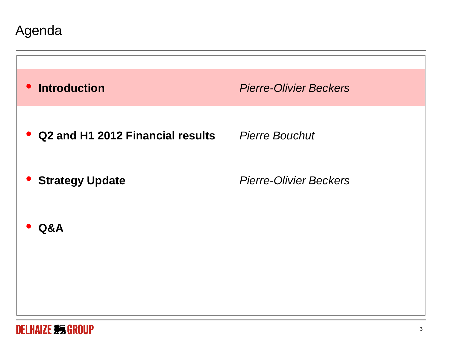Agenda

| <b>Introduction</b><br>$\bullet$      | <b>Pierre-Olivier Beckers</b> |
|---------------------------------------|-------------------------------|
| Q2 and H1 2012 Financial results<br>U | <b>Pierre Bouchut</b>         |
| <b>Strategy Update</b>                | <b>Pierre-Olivier Beckers</b> |
| Q&A                                   |                               |
|                                       |                               |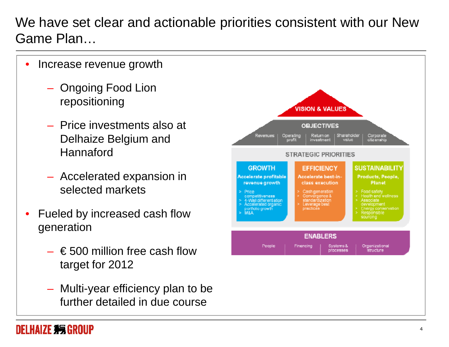We have set clear and actionable priorities consistent with our New Game Plan…

- $\bullet$  Increase revenue growth
	- Ongoing Food Lion repositioning
	- Price investments also at Delhaize Belgium and **Hannaford**
	- Accelerated expansion in selected markets
- $\bullet$  Fueled by increased cash flow generation
	- $\epsilon$  500 million free cash flow target for 2012
	- Multi-year efficiency plan to be further detailed in due course

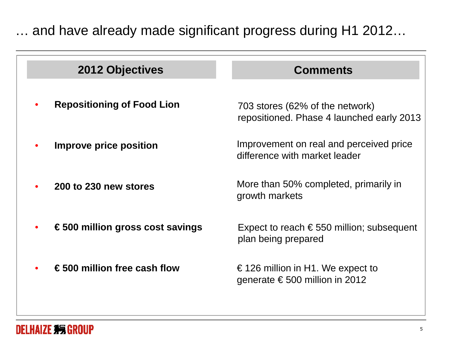… and have already made significant progress during H1 2012…

| 2012 Objectives                           | <b>Comments</b>                                                              |
|-------------------------------------------|------------------------------------------------------------------------------|
| <b>Repositioning of Food Lion</b>         | 703 stores (62% of the network)<br>repositioned. Phase 4 launched early 2013 |
| Improve price position                    | Improvement on real and perceived price<br>difference with market leader     |
| 200 to 230 new stores                     | More than 50% completed, primarily in<br>growth markets                      |
| $\epsilon$ 500 million gross cost savings | Expect to reach $\epsilon$ 550 million; subsequent<br>plan being prepared    |
| € 500 million free cash flow              | € 126 million in H1. We expect to<br>generate $\epsilon$ 500 million in 2012 |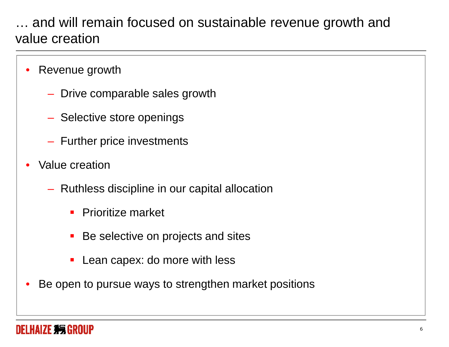### … and will remain focused on sustainable revenue growth and value creation

- $\bullet$  Revenue growth
	- $-$  Drive comparable sales growth
	- $-$  Selective store openings
	- $-$  Further price investments
- $\bullet$  Value creation
	- $-$  Ruthless discipline in our capital allocation
		- $\mathbf{r}$ Prioritize market
		- $\mathcal{L}_{\mathcal{A}}$ Be selective on projects and sites
		- $\blacksquare$ Lean capex: do more with less
- •Be open to pursue ways to strengthen market positions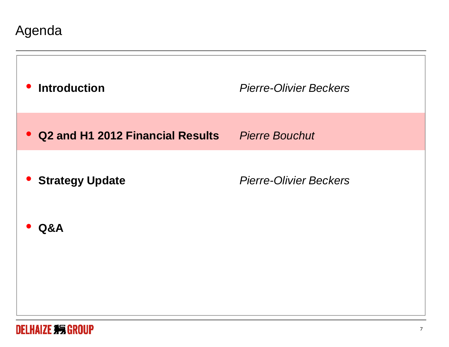Agenda

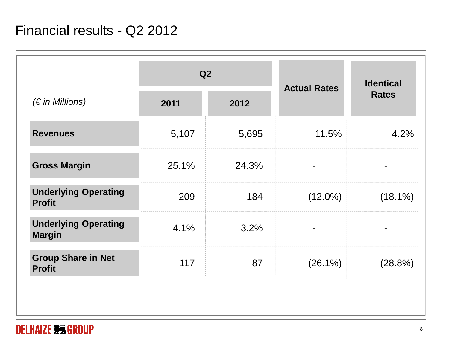|                                              | Q2    |       | <b>Actual Rates</b> | <b>Identical</b> |
|----------------------------------------------|-------|-------|---------------------|------------------|
| $(\epsilon$ in Millions)                     | 2011  | 2012  |                     | <b>Rates</b>     |
| <b>Revenues</b>                              | 5,107 | 5,695 | 11.5%               | 4.2%             |
| <b>Gross Margin</b>                          | 25.1% | 24.3% |                     |                  |
| <b>Underlying Operating</b><br><b>Profit</b> | 209   | 184   | $(12.0\%)$          | $(18.1\%)$       |
| <b>Underlying Operating</b><br><b>Margin</b> | 4.1%  | 3.2%  |                     |                  |
| <b>Group Share in Net</b><br><b>Profit</b>   | 117   | 87    | $(26.1\%)$          | (28.8%)          |
|                                              |       |       |                     |                  |

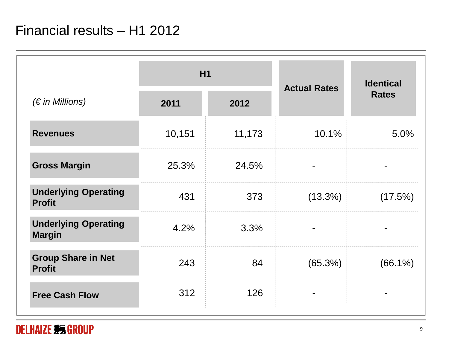|                                              | H <sub>1</sub> |        | <b>Actual Rates</b> | <b>Identical</b> |
|----------------------------------------------|----------------|--------|---------------------|------------------|
| $(\epsilon$ in Millions)                     | 2011           | 2012   |                     | <b>Rates</b>     |
| <b>Revenues</b>                              | 10,151         | 11,173 | 10.1%               | 5.0%             |
| <b>Gross Margin</b>                          | 25.3%          | 24.5%  |                     |                  |
| <b>Underlying Operating</b><br><b>Profit</b> | 431            | 373    | $(13.3\%)$          | (17.5%)          |
| <b>Underlying Operating</b><br><b>Margin</b> | 4.2%           | 3.3%   |                     |                  |
| <b>Group Share in Net</b><br><b>Profit</b>   | 243            | 84     | (65.3%)             | $(66.1\%)$       |
| <b>Free Cash Flow</b>                        | 312            | 126    |                     |                  |

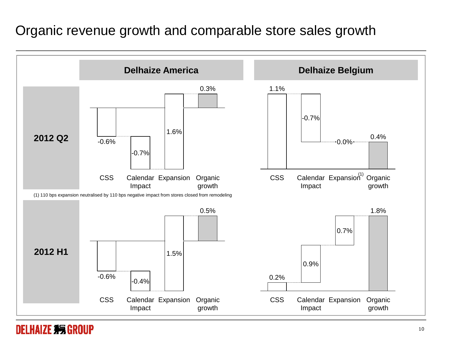#### Organic revenue growth and comparable store sales growth



#### **DELHAIZE 系统 GROUP**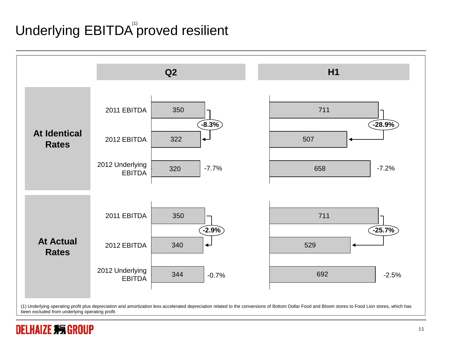# Underlying  $\mathsf{EBITDA}^\text{\tiny(\prime)}$ proved resilient



been excluded from underlying operating profit.

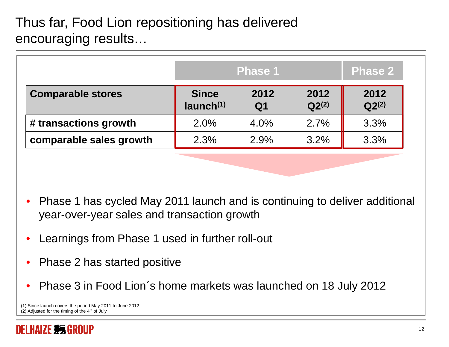# Thus far, Food Lion repositioning has delivered encouraging results…

|                          |                                 | <b>Phase 1</b>         |                    | <b>Phase 2</b>     |
|--------------------------|---------------------------------|------------------------|--------------------|--------------------|
| <b>Comparable stores</b> | <b>Since</b><br>$l$ aunch $(1)$ | 2012<br>Q <sub>1</sub> | 2012<br>$Q2^{(2)}$ | 2012<br>$Q2^{(2)}$ |
| # transactions growth    | 2.0%                            | $4.0\%$                | 2.7%               | 3.3%               |
| comparable sales growth  | 2.3%                            | 2.9%                   | 3.2%               | 3.3%               |

- • Phase 1 has cycled May 2011 launch and is continuing to deliver additional year-over-year sales and transaction growth
- •Learnings from Phase 1 used in further roll-out
- •Phase 2 has started positive
- •Phase 3 in Food Lion´s home markets was launched on 18 July 2012

<sup>(1)</sup> Since launch covers the period May 2011 to June 2012(2) Adjusted for the timing of the  $4<sup>th</sup>$  of July

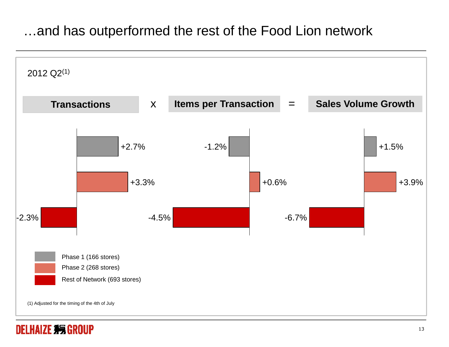#### …and has outperformed the rest of the Food Lion network

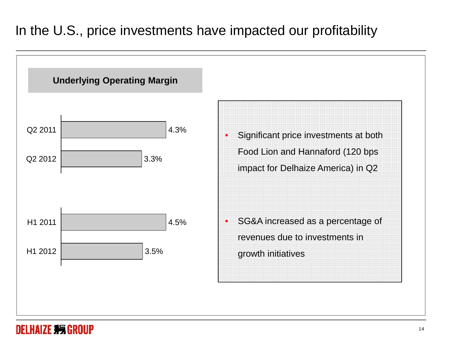# In the U.S., price investments have impacted our profitability



#### **DELHAIZE #5 GROUP**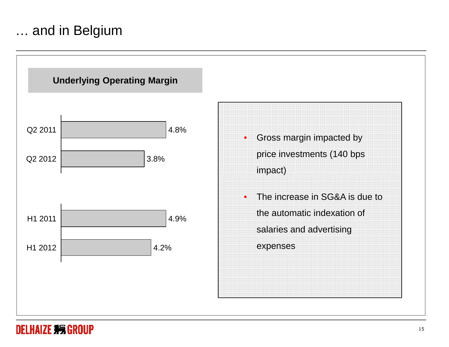#### … and in Belgium

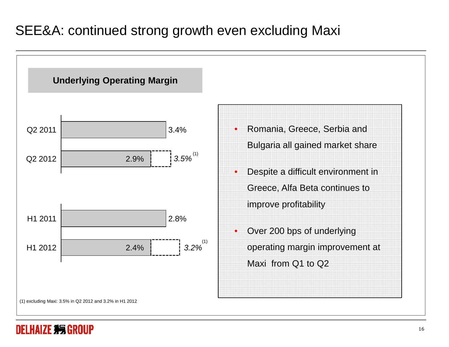## SEE&A: continued strong growth even excluding Maxi



#### **DELHAIZE 35 GROUP**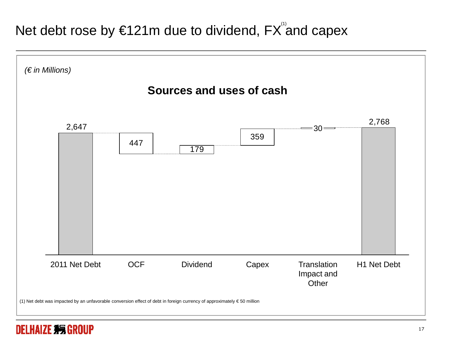# Net debt rose by €121m due to dividend, FX and capex



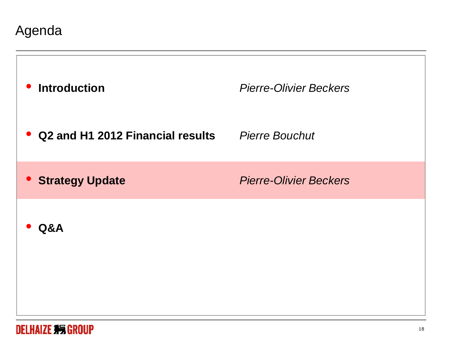Agenda

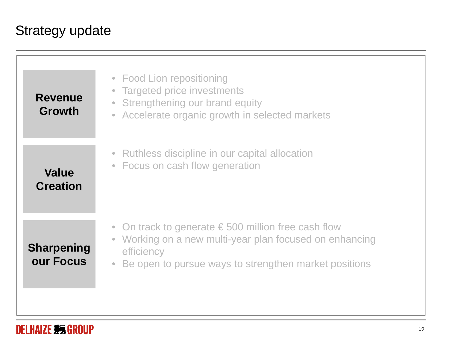# Strategy update

| <b>Revenue</b><br><b>Growth</b> | • Food Lion repositioning<br><b>Targeted price investments</b><br>$\bullet$<br>Strengthening our brand equity<br>$\bullet$<br>Accelerate organic growth in selected markets<br>$\bullet$                               |
|---------------------------------|------------------------------------------------------------------------------------------------------------------------------------------------------------------------------------------------------------------------|
| <b>Value</b><br><b>Creation</b> | • Ruthless discipline in our capital allocation<br>• Focus on cash flow generation                                                                                                                                     |
| <b>Sharpening</b><br>our Focus  | On track to generate $\epsilon$ 500 million free cash flow<br>$\bullet$<br>• Working on a new multi-year plan focused on enhancing<br>efficiency<br>Be open to pursue ways to strengthen market positions<br>$\bullet$ |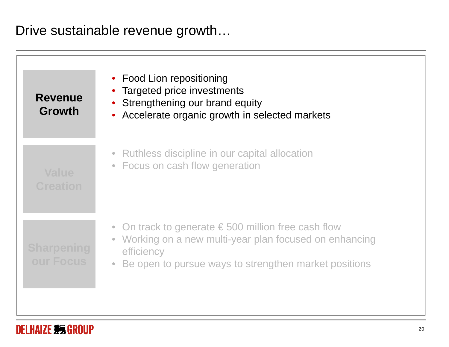Drive sustainable revenue growth…

| <b>Revenue</b><br><b>Growth</b> | • Food Lion repositioning<br>Targeted price investments<br>Strengthening our brand equity<br>• Accelerate organic growth in selected markets                                                              |
|---------------------------------|-----------------------------------------------------------------------------------------------------------------------------------------------------------------------------------------------------------|
| <b>Value</b><br><b>Creation</b> | • Ruthless discipline in our capital allocation<br>• Focus on cash flow generation                                                                                                                        |
| <b>Sharpening</b><br>our Focus  | • On track to generate $\epsilon$ 500 million free cash flow<br>Working on a new multi-year plan focused on enhancing<br>$\bullet$<br>efficiency<br>Be open to pursue ways to strengthen market positions |

#### **DELHAIZE #5 GROUP**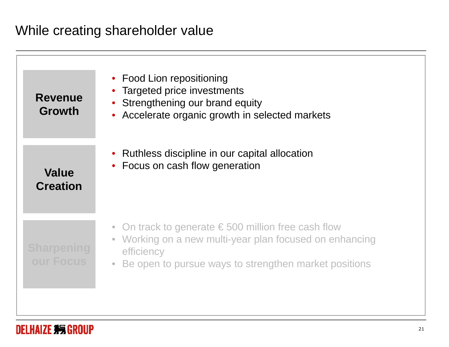### While creating shareholder value

| <b>Revenue</b><br>Growth        | • Food Lion repositioning<br>Targeted price investments<br>Strengthening our brand equity<br>• Accelerate organic growth in selected markets                                                                             |
|---------------------------------|--------------------------------------------------------------------------------------------------------------------------------------------------------------------------------------------------------------------------|
| <b>Value</b><br><b>Creation</b> | • Ruthless discipline in our capital allocation<br>Focus on cash flow generation                                                                                                                                         |
| <b>Sharpening</b><br>our Focus  | • On track to generate $\epsilon$ 500 million free cash flow<br>Working on a new multi-year plan focused on enhancing<br>$\bullet$<br>efficiency<br>Be open to pursue ways to strengthen market positions<br>$\bullet$ . |

#### DELHAIZE #5 GROUP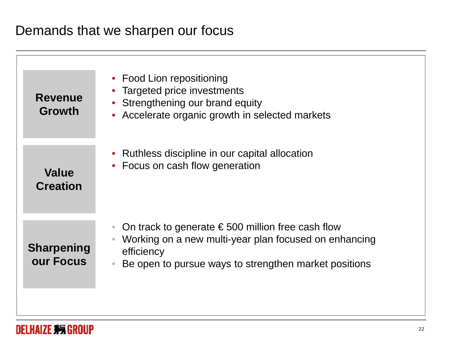#### Demands that we sharpen our focus

| <b>Revenue</b><br>Growth        | • Food Lion repositioning<br><b>Targeted price investments</b><br>Strengthening our brand equity<br>Accelerate organic growth in selected markets<br>$\bullet$                                                      |
|---------------------------------|---------------------------------------------------------------------------------------------------------------------------------------------------------------------------------------------------------------------|
| <b>Value</b><br><b>Creation</b> | • Ruthless discipline in our capital allocation<br>Focus on cash flow generation                                                                                                                                    |
| <b>Sharpening</b><br>our Focus  | On track to generate $\epsilon$ 500 million free cash flow<br>$\color{red} \bullet$<br>Working on a new multi-year plan focused on enhancing<br>efficiency<br>Be open to pursue ways to strengthen market positions |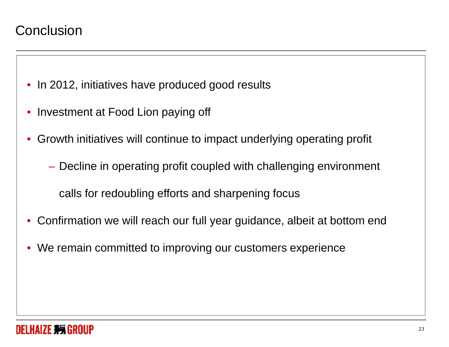- In 2012, initiatives have produced good results
- $\bullet$ Investment at Food Lion paying off
- • Growth initiatives will continue to impact underlying operating profit
	- Decline in operating profit coupled with challenging environment

calls for redoubling efforts and sharpening focus

- •Confirmation we will reach our full year guidance, albeit at bottom end
- We remain committed to improving our customers experience